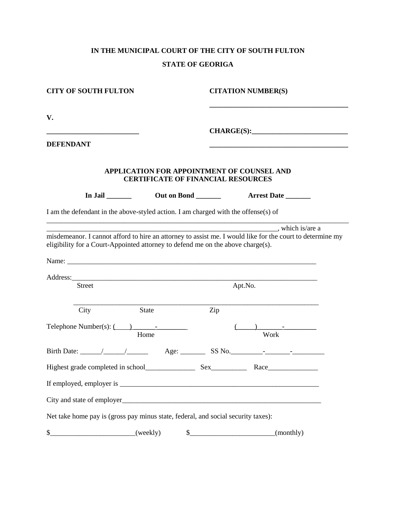## **IN THE MUNICIPAL COURT OF THE CITY OF SOUTH FULTON STATE OF GEORIGA**

| <b>CITY OF SOUTH FULTON</b>                                                                                                                                                                  |                                                                                         |            | <b>CITATION NUMBER(S)</b>                                                                                                                                                                                                      |
|----------------------------------------------------------------------------------------------------------------------------------------------------------------------------------------------|-----------------------------------------------------------------------------------------|------------|--------------------------------------------------------------------------------------------------------------------------------------------------------------------------------------------------------------------------------|
| V.                                                                                                                                                                                           |                                                                                         |            |                                                                                                                                                                                                                                |
| <u> 1989 - Johann Barbara, martin amerikan basar dan berasal dalam basar dalam basar dalam basar dalam basar dala</u><br><b>DEFENDANT</b>                                                    |                                                                                         | CHARGE(S): |                                                                                                                                                                                                                                |
|                                                                                                                                                                                              | APPLICATION FOR APPOINTMENT OF COUNSEL AND<br><b>CERTIFICATE OF FINANCIAL RESOURCES</b> |            |                                                                                                                                                                                                                                |
|                                                                                                                                                                                              | Out on Bond _______                                                                     |            | Arrest Date                                                                                                                                                                                                                    |
| I am the defendant in the above-styled action. I am charged with the offense(s) of                                                                                                           |                                                                                         |            |                                                                                                                                                                                                                                |
| misdemeanor. I cannot afford to hire an attorney to assist me. I would like for the court to determine my<br>eligibility for a Court-Appointed attorney to defend me on the above charge(s). |                                                                                         |            | which is/are a set of the set of the set of the set of the set of the set of the set of the set of the set of the set of the set of the set of the set of the set of the set of the set of the set of the set of the set of th |
|                                                                                                                                                                                              |                                                                                         |            |                                                                                                                                                                                                                                |
| <b>Street</b>                                                                                                                                                                                |                                                                                         | Apt.No.    |                                                                                                                                                                                                                                |
| City                                                                                                                                                                                         | <b>State</b>                                                                            | Zip        |                                                                                                                                                                                                                                |
| Telephone Number(s): $\overline{() \quad \qquad}$                                                                                                                                            | Home                                                                                    |            | Work                                                                                                                                                                                                                           |
|                                                                                                                                                                                              |                                                                                         |            |                                                                                                                                                                                                                                |
|                                                                                                                                                                                              |                                                                                         |            |                                                                                                                                                                                                                                |
|                                                                                                                                                                                              |                                                                                         |            |                                                                                                                                                                                                                                |
|                                                                                                                                                                                              |                                                                                         |            |                                                                                                                                                                                                                                |
| Net take home pay is (gross pay minus state, federal, and social security taxes):                                                                                                            |                                                                                         |            |                                                                                                                                                                                                                                |
| \$                                                                                                                                                                                           | (weekly)<br>\$                                                                          |            | (monthly)                                                                                                                                                                                                                      |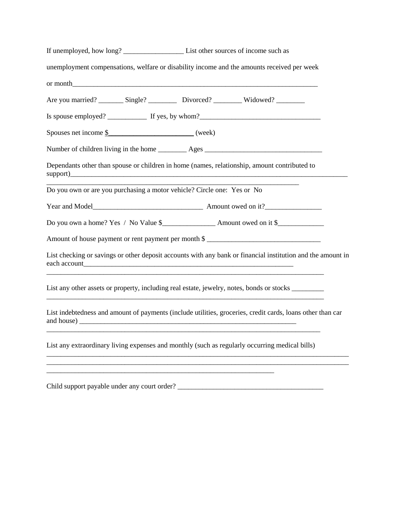| unemployment compensations, welfare or disability income and the amounts received per week                                                                                                                                                                                                                                                                                                                        |  |                                                                                                             |  |
|-------------------------------------------------------------------------------------------------------------------------------------------------------------------------------------------------------------------------------------------------------------------------------------------------------------------------------------------------------------------------------------------------------------------|--|-------------------------------------------------------------------------------------------------------------|--|
|                                                                                                                                                                                                                                                                                                                                                                                                                   |  |                                                                                                             |  |
| Are you married? ________ Single? ___________ Divorced? __________ Widowed? _________                                                                                                                                                                                                                                                                                                                             |  |                                                                                                             |  |
| Is spouse employed? $\frac{1}{\sqrt{1-\frac{1}{\sqrt{1-\frac{1}{\sqrt{1-\frac{1}{\sqrt{1-\frac{1}{\sqrt{1-\frac{1}{\sqrt{1-\frac{1}{\sqrt{1-\frac{1}{\sqrt{1-\frac{1}{\sqrt{1-\frac{1}{\sqrt{1-\frac{1}{\sqrt{1-\frac{1}{\sqrt{1-\frac{1}{\sqrt{1-\frac{1}{\sqrt{1-\frac{1}{\sqrt{1-\frac{1}{\sqrt{1-\frac{1}{\sqrt{1-\frac{1}{\sqrt{1-\frac{1}{\sqrt{1-\frac{1}{\sqrt{1-\frac{1}{\sqrt{1-\frac{1}{\sqrt{1-\frac$ |  |                                                                                                             |  |
|                                                                                                                                                                                                                                                                                                                                                                                                                   |  |                                                                                                             |  |
| Number of children living in the home __________ Ages ___________________________                                                                                                                                                                                                                                                                                                                                 |  |                                                                                                             |  |
| Dependants other than spouse or children in home (names, relationship, amount contributed to                                                                                                                                                                                                                                                                                                                      |  |                                                                                                             |  |
| Do you own or are you purchasing a motor vehicle? Circle one: Yes or No                                                                                                                                                                                                                                                                                                                                           |  |                                                                                                             |  |
|                                                                                                                                                                                                                                                                                                                                                                                                                   |  |                                                                                                             |  |
|                                                                                                                                                                                                                                                                                                                                                                                                                   |  |                                                                                                             |  |
| Amount of house payment or rent payment per month \$                                                                                                                                                                                                                                                                                                                                                              |  |                                                                                                             |  |
|                                                                                                                                                                                                                                                                                                                                                                                                                   |  | List checking or savings or other deposit accounts with any bank or financial institution and the amount in |  |
| List any other assets or property, including real estate, jewelry, notes, bonds or stocks _________<br><u> 1989 - Johann Johann Stoff, deutscher Stoffen und der Stoffen und der Stoffen und der Stoffen und der Stoffen</u>                                                                                                                                                                                      |  |                                                                                                             |  |
|                                                                                                                                                                                                                                                                                                                                                                                                                   |  | List indebtedness and amount of payments (include utilities, groceries, credit cards, loans other than car  |  |
| List any extraordinary living expenses and monthly (such as regularly occurring medical bills)                                                                                                                                                                                                                                                                                                                    |  |                                                                                                             |  |
| ,我们也不能在这里的时候,我们也不能在这里的时候,我们也不能不能不能不能不能不能不能不能不能不能不能不能不能不能不能。""我们的是,我们也不能不能不能不能不能不                                                                                                                                                                                                                                                                                                                                  |  |                                                                                                             |  |

Child support payable under any court order? \_\_\_\_\_\_\_\_\_\_\_\_\_\_\_\_\_\_\_\_\_\_\_\_\_\_\_\_\_\_\_\_\_\_\_\_\_\_\_\_\_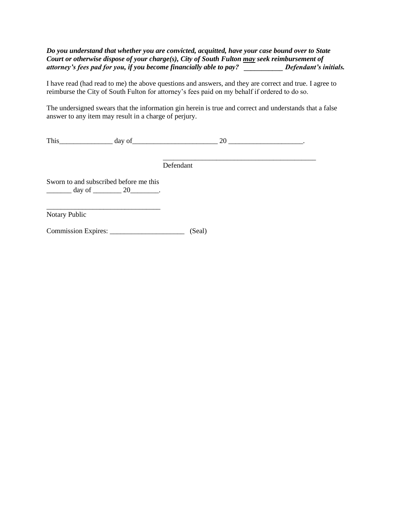## *Do you understand that whether you are convicted, acquitted, have your case bound over to State Court or otherwise dispose of your charge(s), City of South Fulton may seek reimbursement of attorney's fees pad for you, if you become financially able to pay? \_\_\_\_\_\_\_\_\_\_\_ Defendant's initials.*

I have read (had read to me) the above questions and answers, and they are correct and true. I agree to reimburse the City of South Fulton for attorney's fees paid on my behalf if ordered to do so.

The undersigned swears that the information gin herein is true and correct and understands that a false answer to any item may result in a charge of perjury.

This day of  $\frac{1}{20}$ 

\_\_\_\_\_\_\_\_\_\_\_\_\_\_\_\_\_\_\_\_\_\_\_\_\_\_\_\_\_\_\_\_\_\_\_\_\_\_\_\_\_\_\_ Defendant

Sworn to and subscribed before me this  $\frac{day \text{ of } 20}{x}$ .

\_\_\_\_\_\_\_\_\_\_\_\_\_\_\_\_\_\_\_\_\_\_\_\_\_\_\_\_\_\_\_\_ Notary Public

Commission Expires: \_\_\_\_\_\_\_\_\_\_\_\_\_\_\_\_\_\_\_\_\_ (Seal)